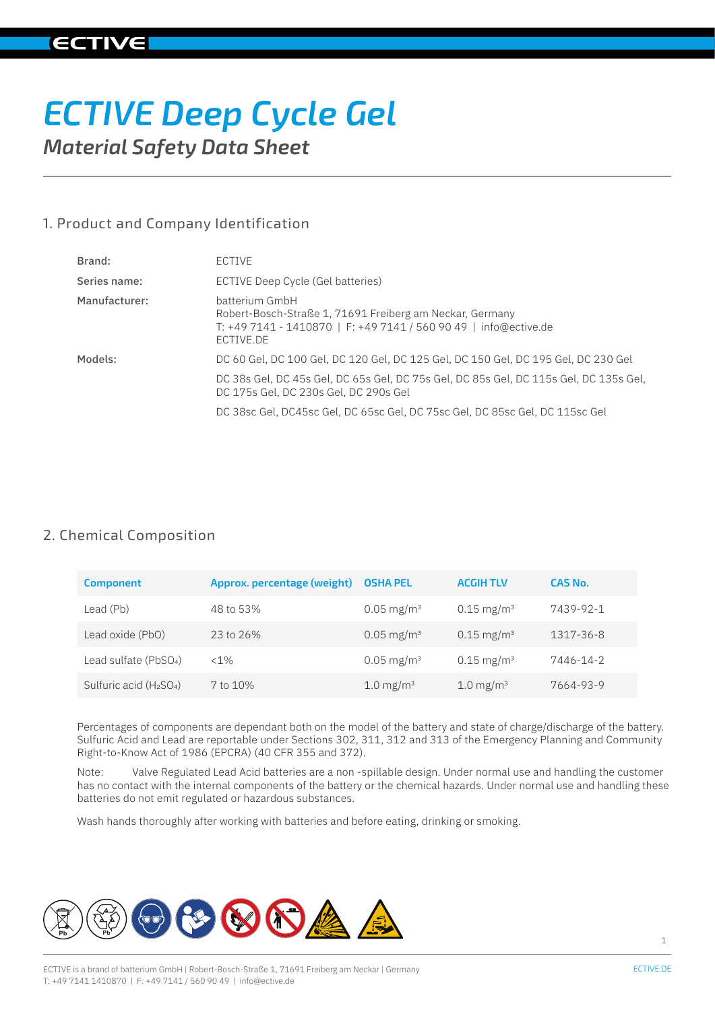# *ECTIVE Deep Cycle Gel Material Safety Data Sheet*

# 1. Product and Company Identification

| Brand:        | ECTIVE                                                                                                                                                             |
|---------------|--------------------------------------------------------------------------------------------------------------------------------------------------------------------|
| Series name:  | ECTIVE Deep Cycle (Gel batteries)                                                                                                                                  |
| Manufacturer: | batterium GmbH<br>Robert-Bosch-Straße 1, 71691 Freiberg am Neckar, Germany<br>T: +49 7141 - 1410870   F: +49 7141 / 560 90 49   info@ective.de<br><b>FCTIVE DE</b> |
| Models:       | DC 60 Gel, DC 100 Gel, DC 120 Gel, DC 125 Gel, DC 150 Gel, DC 195 Gel, DC 230 Gel                                                                                  |
|               | DC 38s Gel, DC 45s Gel, DC 65s Gel, DC 75s Gel, DC 85s Gel, DC 115s Gel, DC 135s Gel,<br>DC 175s Gel, DC 230s Gel, DC 290s Gel                                     |
|               | DC 38sc Gel, DC45sc Gel, DC 65sc Gel, DC 75sc Gel, DC 85sc Gel, DC 115sc Gel                                                                                       |

# 2. Chemical Composition

| <b>Component</b>                                | Approx. percentage (weight) | <b>OSHA PEL</b>         | <b>ACGIH TLV</b>         | CAS No.   |
|-------------------------------------------------|-----------------------------|-------------------------|--------------------------|-----------|
| Lead (Pb)                                       | 48 to 53%                   | $0.05 \text{ mg/m}^3$   | $0.15 \text{ mg/m}^3$    | 7439-92-1 |
| Lead oxide (PbO)                                | 23 to 26%                   | $0.05 \text{ mg/m}^3$   | $0.15$ mg/m <sup>3</sup> | 1317-36-8 |
| Lead sulfate (PbSO <sub>4</sub> )               | $< 1\%$                     | $0.05 \text{ mg/m}^3$   | $0.15 \text{ mg/m}^3$    | 7446-14-2 |
| Sulfuric acid (H <sub>2</sub> SO <sub>4</sub> ) | 7 to 10%                    | $1.0 \,\mathrm{mg/m^3}$ | 1.0 mg/m <sup>3</sup>    | 7664-93-9 |

Percentages of components are dependant both on the model of the battery and state of charge/discharge of the battery. Sulfuric Acid and Lead are reportable under Sections 302, 311, 312 and 313 of the Emergency Planning and Community Right-to-Know Act of 1986 (EPCRA) (40 CFR 355 and 372).

Note: Valve Regulated Lead Acid batteries are a non -spillable design. Under normal use and handling the customer has no contact with the internal components of the battery or the chemical hazards. Under normal use and handling these batteries do not emit regulated or hazardous substances.

Wash hands thoroughly after working with batteries and before eating, drinking or smoking.

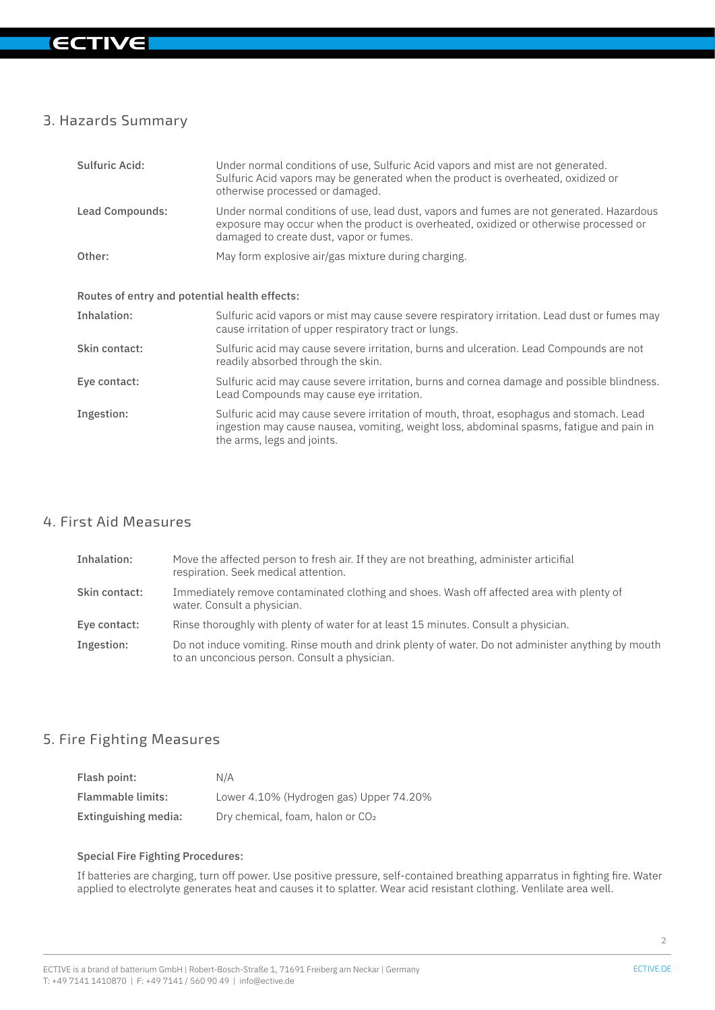# 3. Hazards Summary

| Sulfuric Acid:                                | Under normal conditions of use, Sulfuric Acid vapors and mist are not generated.<br>Sulfuric Acid vapors may be generated when the product is overheated, oxidized or<br>otherwise processed or damaged.                     |
|-----------------------------------------------|------------------------------------------------------------------------------------------------------------------------------------------------------------------------------------------------------------------------------|
| Lead Compounds:                               | Under normal conditions of use, lead dust, vapors and fumes are not generated. Hazardous<br>exposure may occur when the product is overheated, oxidized or otherwise processed or<br>damaged to create dust, vapor or fumes. |
| Other:                                        | May form explosive air/gas mixture during charging.                                                                                                                                                                          |
|                                               |                                                                                                                                                                                                                              |
| Routes of entry and potential health effects: |                                                                                                                                                                                                                              |
| Inhalation:                                   | Sulfuric acid vapors or mist may cause severe respiratory irritation. Lead dust or fumes may<br>cause irritation of upper respiratory tract or lungs.                                                                        |
| Skin contact:                                 | Sulfuric acid may cause severe irritation, burns and ulceration. Lead Compounds are not<br>readily absorbed through the skin.                                                                                                |
| Eye contact:                                  | Sulfuric acid may cause severe irritation, burns and cornea damage and possible blindness.<br>Lead Compounds may cause eye irritation.                                                                                       |
| Ingestion:                                    | Sulfuric acid may cause severe irritation of mouth, throat, esophagus and stomach. Lead<br>ingestion may cause nausea, vomiting, weight loss, abdominal spasms, fatigue and pain in<br>the arms, legs and joints.            |

# 4. First Aid Measures

| Inhalation:   | Move the affected person to fresh air. If they are not breathing, administer articifial<br>respiration. Seek medical attention.                     |
|---------------|-----------------------------------------------------------------------------------------------------------------------------------------------------|
| Skin contact: | Immediately remove contaminated clothing and shoes. Wash off affected area with plenty of<br>water. Consult a physician.                            |
| Eye contact:  | Rinse thoroughly with plenty of water for at least 15 minutes. Consult a physician.                                                                 |
| Ingestion:    | Do not induce vomiting. Rinse mouth and drink plenty of water. Do not administer anything by mouth<br>to an unconcious person. Consult a physician. |

# 5. Fire Fighting Measures

| Flash point:         | N/A                                          |
|----------------------|----------------------------------------------|
| Flammable limits:    | Lower 4.10% (Hydrogen gas) Upper 74.20%      |
| Extinguishing media: | Dry chemical, foam, halon or CO <sub>2</sub> |

#### Special Fire Fighting Procedures:

If batteries are charging, turn off power. Use positive pressure, self-contained breathing apparratus in fighting fire. Water applied to electrolyte generates heat and causes it to splatter. Wear acid resistant clothing. Venlilate area well.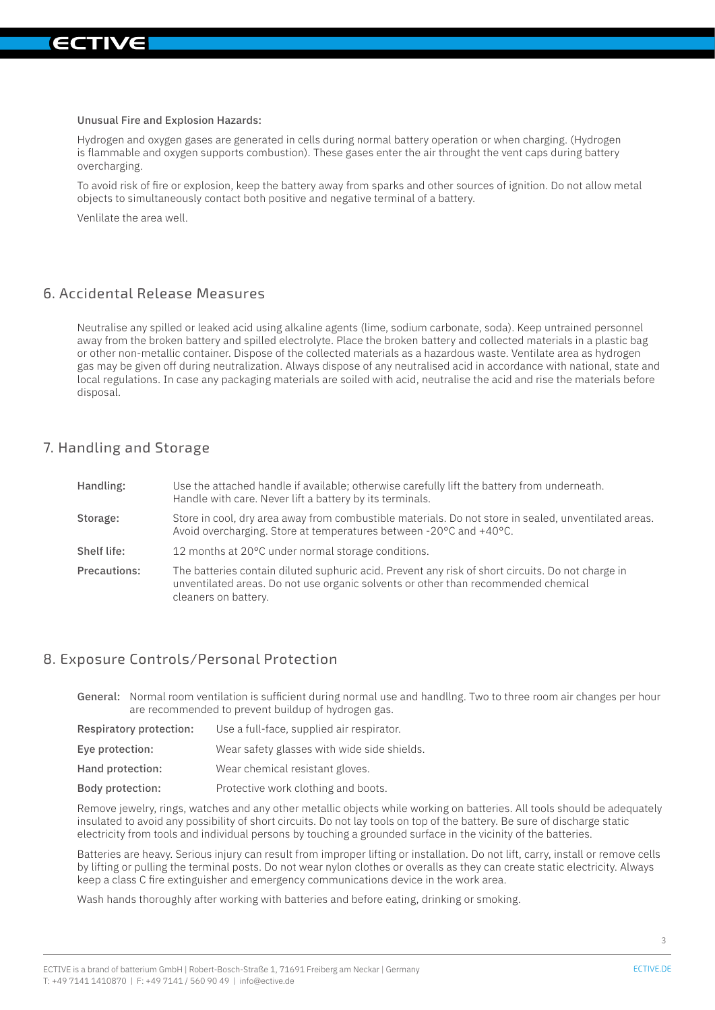

Unusual Fire and Explosion Hazards:

Hydrogen and oxygen gases are generated in cells during normal battery operation or when charging. (Hydrogen is flammable and oxygen supports combustion). These gases enter the air throught the vent caps during battery overcharging.

To avoid risk of fire or explosion, keep the battery away from sparks and other sources of ignition. Do not allow metal objects to simultaneously contact both positive and negative terminal of a battery.

Venlilate the area well.

#### 6. Accidental Release Measures

Neutralise any spilled or leaked acid using alkaline agents (lime, sodium carbonate, soda). Keep untrained personnel away from the broken battery and spilled electrolyte. Place the broken battery and collected materials in a plastic bag or other non-metallic container. Dispose of the collected materials as a hazardous waste. Ventilate area as hydrogen gas may be given off during neutralization. Always dispose of any neutralised acid in accordance with national, state and local regulations. In case any packaging materials are soiled with acid, neutralise the acid and rise the materials before disposal.

#### 7. Handling and Storage

| Handling:    | Use the attached handle if available; otherwise carefully lift the battery from underneath.<br>Handle with care. Never lift a battery by its terminals.                                                         |
|--------------|-----------------------------------------------------------------------------------------------------------------------------------------------------------------------------------------------------------------|
| Storage:     | Store in cool, dry area away from combustible materials. Do not store in sealed, unventilated areas.<br>Avoid overcharging. Store at temperatures between -20°C and +40°C.                                      |
| Shelf life:  | 12 months at 20°C under normal storage conditions.                                                                                                                                                              |
| Precautions: | The batteries contain diluted suphuric acid. Prevent any risk of short circuits. Do not charge in<br>unventilated areas. Do not use organic solvents or other than recommended chemical<br>cleaners on battery. |

#### 8. Exposure Controls/Personal Protection

General: Normal room ventilation is sufficient during normal use and handllng. Two to three room air changes per hour are recommended to prevent buildup of hydrogen gas.

| Respiratory protection: | Use a full-face, supplied air respirator.   |
|-------------------------|---------------------------------------------|
| Eye protection:         | Wear safety glasses with wide side shields. |
| Hand protection:        | Wear chemical resistant gloves.             |
| Body protection:        | Protective work clothing and boots.         |

Remove jewelry, rings, watches and any other metallic objects while working on batteries. All tools should be adequately insulated to avoid any possibility of short circuits. Do not lay tools on top of the battery. Be sure of discharge static electricity from tools and individual persons by touching a grounded surface in the vicinity of the batteries.

Batteries are heavy. Serious injury can result from improper lifting or installation. Do not lift, carry, install or remove cells by lifting or pulling the terminal posts. Do not wear nylon clothes or overalls as they can create static electricity. Always keep a class C fire extinguisher and emergency communications device in the work area.

Wash hands thoroughly after working with batteries and before eating, drinking or smoking.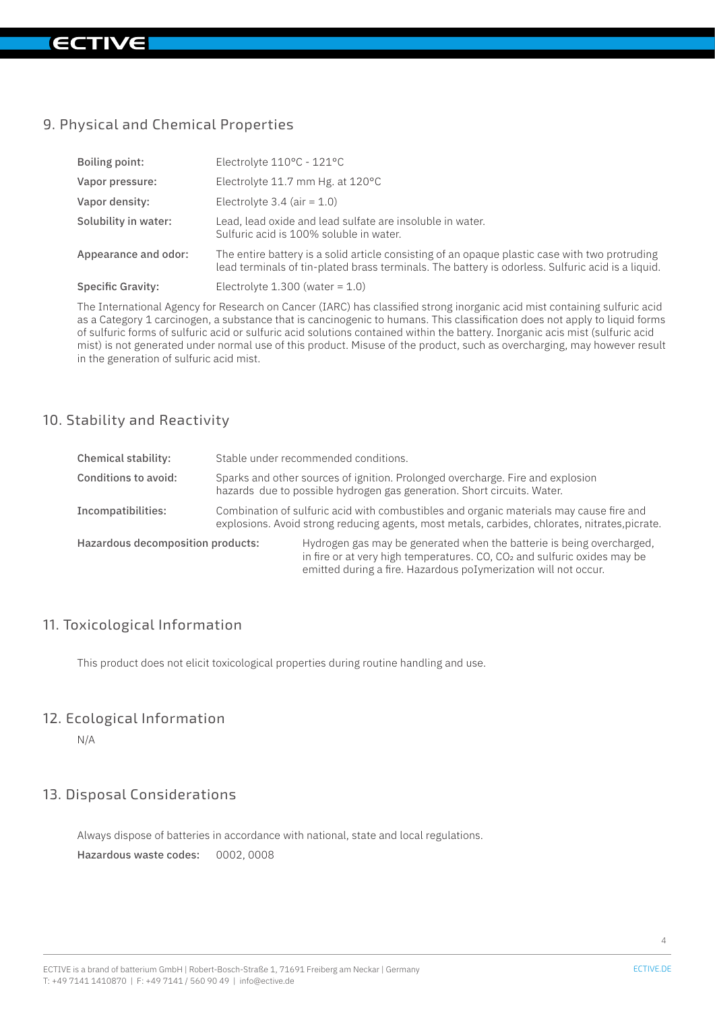# 9. Physical and Chemical Properties

| Boiling point:           | Electrolyte 110°C - 121°C                                                                                                                                                                           |
|--------------------------|-----------------------------------------------------------------------------------------------------------------------------------------------------------------------------------------------------|
| Vapor pressure:          | Electrolyte 11.7 mm Hg. at 120°C                                                                                                                                                                    |
| Vapor density:           | Electrolyte $3.4$ (air = 1.0)                                                                                                                                                                       |
| Solubility in water:     | Lead, lead oxide and lead sulfate are insoluble in water.<br>Sulfuric acid is 100% soluble in water.                                                                                                |
| Appearance and odor:     | The entire battery is a solid article consisting of an opaque plastic case with two protruding<br>lead terminals of tin-plated brass terminals. The battery is odorless. Sulfuric acid is a liquid. |
| <b>Specific Gravity:</b> | Electrolyte $1.300$ (water = $1.0$ )                                                                                                                                                                |

The International Agency for Research on Cancer (IARC) has classified strong inorganic acid mist containing sulfuric acid as a Category 1 carcinogen, a substance that is cancinogenic to humans. This classification does not apply to liquid forms of sulfuric forms of sulfuric acid or sulfuric acid solutions contained within the battery. Inorganic acis mist (sulfuric acid mist) is not generated under normal use of this product. Misuse of the product, such as overcharging, may however result in the generation of sulfuric acid mist.

### 10. Stability and Reactivity

| Chemical stability:               | Stable under recommended conditions.                                                                                                                                                      |                                                                                                                                                                                                                                  |
|-----------------------------------|-------------------------------------------------------------------------------------------------------------------------------------------------------------------------------------------|----------------------------------------------------------------------------------------------------------------------------------------------------------------------------------------------------------------------------------|
| <b>Conditions to avoid:</b>       | Sparks and other sources of ignition. Prolonged overcharge. Fire and explosion<br>hazards due to possible hydrogen gas generation. Short circuits. Water.                                 |                                                                                                                                                                                                                                  |
| Incompatibilities:                | Combination of sulfuric acid with combustibles and organic materials may cause fire and<br>explosions. Avoid strong reducing agents, most metals, carbides, chlorates, nitrates, picrate. |                                                                                                                                                                                                                                  |
| Hazardous decomposition products: |                                                                                                                                                                                           | Hydrogen gas may be generated when the batterie is being overcharged.<br>in fire or at very high temperatures. CO, CO <sub>2</sub> and sulfuric oxides may be<br>emitted during a fire. Hazardous poIymerization will not occur. |

# 11. Toxicological Information

This product does not elicit toxicological properties during routine handling and use.

### 12. Ecological Information

N/A

# 13. Disposal Considerations

Always dispose of batteries in accordance with national, state and local regulations. Hazardous waste codes: 0002, 0008